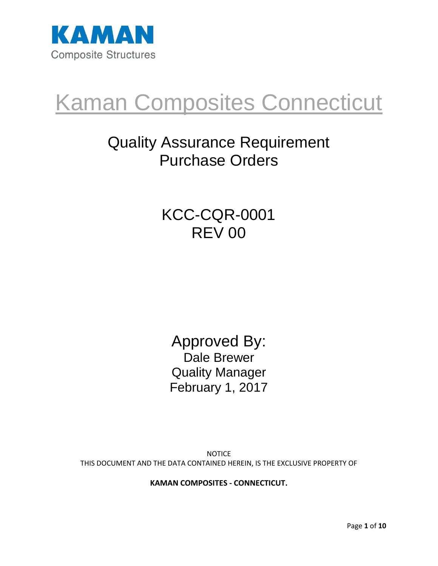

# Kaman Composites Connecticut

## Quality Assurance Requirement Purchase Orders

### KCC-CQR-0001 REV 00

Approved By: Dale Brewer Quality Manager February 1, 2017

**NOTICE** THIS DOCUMENT AND THE DATA CONTAINED HEREIN, IS THE EXCLUSIVE PROPERTY OF

**KAMAN COMPOSITES - CONNECTICUT.**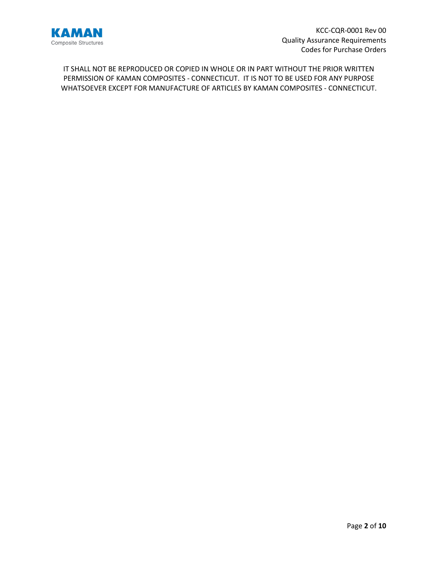

IT SHALL NOT BE REPRODUCED OR COPIED IN WHOLE OR IN PART WITHOUT THE PRIOR WRITTEN PERMISSION OF KAMAN COMPOSITES - CONNECTICUT. IT IS NOT TO BE USED FOR ANY PURPOSE WHATSOEVER EXCEPT FOR MANUFACTURE OF ARTICLES BY KAMAN COMPOSITES - CONNECTICUT.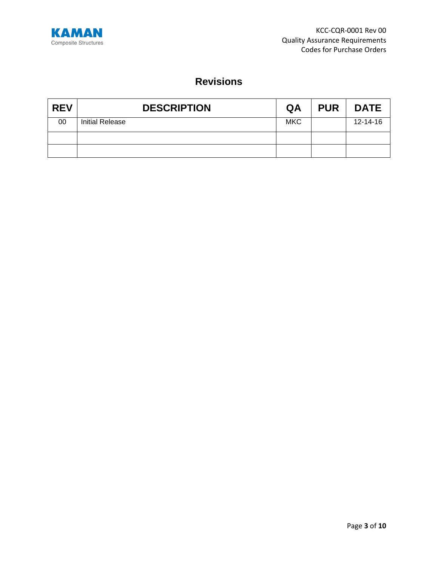

### **Revisions**

| <b>REV</b> | <b>DESCRIPTION</b>     | QA         | <b>PUR</b> | <b>DATE</b> |
|------------|------------------------|------------|------------|-------------|
| 00         | <b>Initial Release</b> | <b>MKC</b> |            | 12-14-16    |
|            |                        |            |            |             |
|            |                        |            |            |             |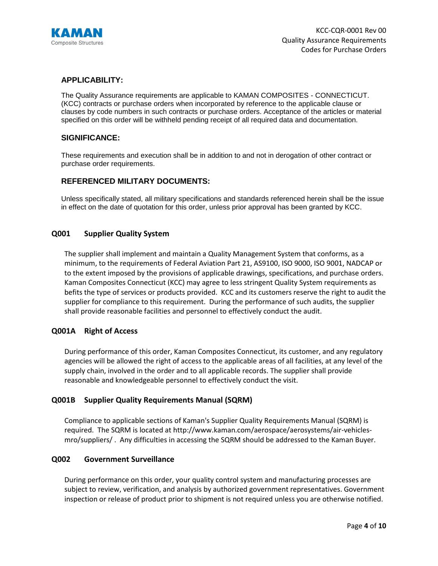

#### **APPLICABILITY:**

The Quality Assurance requirements are applicable to KAMAN COMPOSITES - CONNECTICUT. (KCC) contracts or purchase orders when incorporated by reference to the applicable clause or clauses by code numbers in such contracts or purchase orders. Acceptance of the articles or material specified on this order will be withheld pending receipt of all required data and documentation.

#### **SIGNIFICANCE:**

These requirements and execution shall be in addition to and not in derogation of other contract or purchase order requirements.

#### **REFERENCED MILITARY DOCUMENTS:**

Unless specifically stated, all military specifications and standards referenced herein shall be the issue in effect on the date of quotation for this order, unless prior approval has been granted by KCC.

#### **Q001 Supplier Quality System**

The supplier shall implement and maintain a Quality Management System that conforms, as a minimum, to the requirements of Federal Aviation Part 21, AS9100, ISO 9000, ISO 9001, NADCAP or to the extent imposed by the provisions of applicable drawings, specifications, and purchase orders. Kaman Composites Connecticut (KCC) may agree to less stringent Quality System requirements as befits the type of services or products provided. KCC and its customers reserve the right to audit the supplier for compliance to this requirement. During the performance of such audits, the supplier shall provide reasonable facilities and personnel to effectively conduct the audit.

#### **Q001A Right of Access**

During performance of this order, Kaman Composites Connecticut, its customer, and any regulatory agencies will be allowed the right of access to the applicable areas of all facilities, at any level of the supply chain, involved in the order and to all applicable records. The supplier shall provide reasonable and knowledgeable personnel to effectively conduct the visit.

#### **Q001B Supplier Quality Requirements Manual (SQRM)**

Compliance to applicable sections of Kaman's Supplier Quality Requirements Manual (SQRM) is required. The SQRM is located at http://www.kaman.com/aerospace/aerosystems/air-vehiclesmro/suppliers/ . Any difficulties in accessing the SQRM should be addressed to the Kaman Buyer.

#### **Q002 Government Surveillance**

During performance on this order, your quality control system and manufacturing processes are subject to review, verification, and analysis by authorized government representatives. Government inspection or release of product prior to shipment is not required unless you are otherwise notified.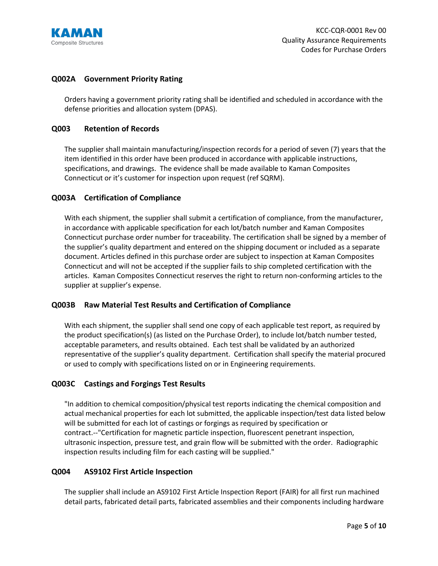

#### **Q002A Government Priority Rating**

Orders having a government priority rating shall be identified and scheduled in accordance with the defense priorities and allocation system (DPAS).

#### **Q003 Retention of Records**

The supplier shall maintain manufacturing/inspection records for a period of seven (7) years that the item identified in this order have been produced in accordance with applicable instructions, specifications, and drawings. The evidence shall be made available to Kaman Composites Connecticut or it's customer for inspection upon request (ref SQRM).

#### **Q003A Certification of Compliance**

With each shipment, the supplier shall submit a certification of compliance, from the manufacturer, in accordance with applicable specification for each lot/batch number and Kaman Composites Connecticut purchase order number for traceability. The certification shall be signed by a member of the supplier's quality department and entered on the shipping document or included as a separate document. Articles defined in this purchase order are subject to inspection at Kaman Composites Connecticut and will not be accepted if the supplier fails to ship completed certification with the articles. Kaman Composites Connecticut reserves the right to return non-conforming articles to the supplier at supplier's expense.

#### **Q003B Raw Material Test Results and Certification of Compliance**

With each shipment, the supplier shall send one copy of each applicable test report, as required by the product specification(s) (as listed on the Purchase Order), to include lot/batch number tested, acceptable parameters, and results obtained. Each test shall be validated by an authorized representative of the supplier's quality department. Certification shall specify the material procured or used to comply with specifications listed on or in Engineering requirements.

#### **Q003C Castings and Forgings Test Results**

"In addition to chemical composition/physical test reports indicating the chemical composition and actual mechanical properties for each lot submitted, the applicable inspection/test data listed below will be submitted for each lot of castings or forgings as required by specification or contract.--"Certification for magnetic particle inspection, fluorescent penetrant inspection, ultrasonic inspection, pressure test, and grain flow will be submitted with the order. Radiographic inspection results including film for each casting will be supplied."

#### **Q004 AS9102 First Article Inspection**

The supplier shall include an AS9102 First Article Inspection Report (FAIR) for all first run machined detail parts, fabricated detail parts, fabricated assemblies and their components including hardware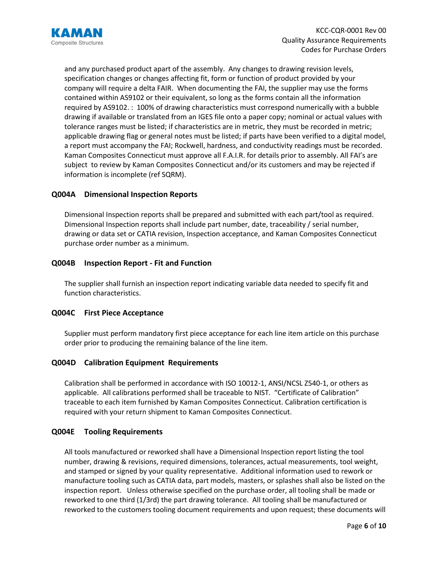

and any purchased product apart of the assembly. Any changes to drawing revision levels, specification changes or changes affecting fit, form or function of product provided by your company will require a delta FAIR. When documenting the FAI, the supplier may use the forms contained within AS9102 or their equivalent, so long as the forms contain all the information required by AS9102. : 100% of drawing characteristics must correspond numerically with a bubble drawing if available or translated from an IGES file onto a paper copy; nominal or actual values with tolerance ranges must be listed; if characteristics are in metric, they must be recorded in metric; applicable drawing flag or general notes must be listed; if parts have been verified to a digital model, a report must accompany the FAI; Rockwell, hardness, and conductivity readings must be recorded. Kaman Composites Connecticut must approve all F.A.I.R. for details prior to assembly. All FAI's are subject to review by Kaman Composites Connecticut and/or its customers and may be rejected if information is incomplete (ref SQRM).

#### **Q004A Dimensional Inspection Reports**

Dimensional Inspection reports shall be prepared and submitted with each part/tool as required. Dimensional Inspection reports shall include part number, date, traceability / serial number, drawing or data set or CATIA revision, Inspection acceptance, and Kaman Composites Connecticut purchase order number as a minimum.

#### **Q004B Inspection Report - Fit and Function**

The supplier shall furnish an inspection report indicating variable data needed to specify fit and function characteristics.

#### **Q004C First Piece Acceptance**

Supplier must perform mandatory first piece acceptance for each line item article on this purchase order prior to producing the remaining balance of the line item.

#### **Q004D Calibration Equipment Requirements**

Calibration shall be performed in accordance with ISO 10012-1, ANSI/NCSL Z540-1, or others as applicable. All calibrations performed shall be traceable to NIST. "Certificate of Calibration" traceable to each item furnished by Kaman Composites Connecticut. Calibration certification is required with your return shipment to Kaman Composites Connecticut.

#### **Q004E Tooling Requirements**

All tools manufactured or reworked shall have a Dimensional Inspection report listing the tool number, drawing & revisions, required dimensions, tolerances, actual measurements, tool weight, and stamped or signed by your quality representative. Additional information used to rework or manufacture tooling such as CATIA data, part models, masters, or splashes shall also be listed on the inspection report. Unless otherwise specified on the purchase order, all tooling shall be made or reworked to one third (1/3rd) the part drawing tolerance. All tooling shall be manufactured or reworked to the customers tooling document requirements and upon request; these documents will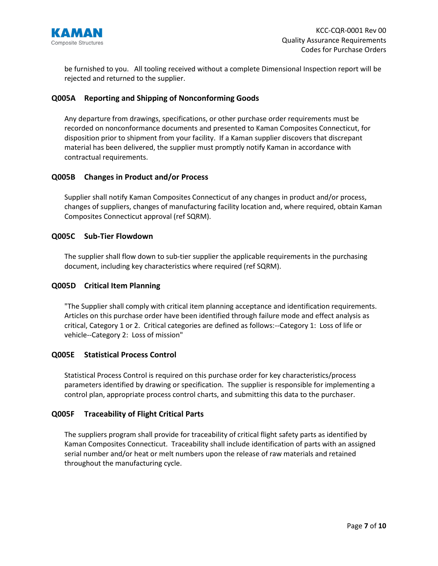

be furnished to you. All tooling received without a complete Dimensional Inspection report will be rejected and returned to the supplier.

#### **Q005A Reporting and Shipping of Nonconforming Goods**

Any departure from drawings, specifications, or other purchase order requirements must be recorded on nonconformance documents and presented to Kaman Composites Connecticut, for disposition prior to shipment from your facility. If a Kaman supplier discovers that discrepant material has been delivered, the supplier must promptly notify Kaman in accordance with contractual requirements.

#### **Q005B Changes in Product and/or Process**

Supplier shall notify Kaman Composites Connecticut of any changes in product and/or process, changes of suppliers, changes of manufacturing facility location and, where required, obtain Kaman Composites Connecticut approval (ref SQRM).

#### **Q005C Sub-Tier Flowdown**

The supplier shall flow down to sub-tier supplier the applicable requirements in the purchasing document, including key characteristics where required (ref SQRM).

#### **Q005D Critical Item Planning**

"The Supplier shall comply with critical item planning acceptance and identification requirements. Articles on this purchase order have been identified through failure mode and effect analysis as critical, Category 1 or 2. Critical categories are defined as follows:--Category 1: Loss of life or vehicle--Category 2: Loss of mission"

#### **Q005E Statistical Process Control**

Statistical Process Control is required on this purchase order for key characteristics/process parameters identified by drawing or specification. The supplier is responsible for implementing a control plan, appropriate process control charts, and submitting this data to the purchaser.

#### **Q005F Traceability of Flight Critical Parts**

The suppliers program shall provide for traceability of critical flight safety parts as identified by Kaman Composites Connecticut. Traceability shall include identification of parts with an assigned serial number and/or heat or melt numbers upon the release of raw materials and retained throughout the manufacturing cycle.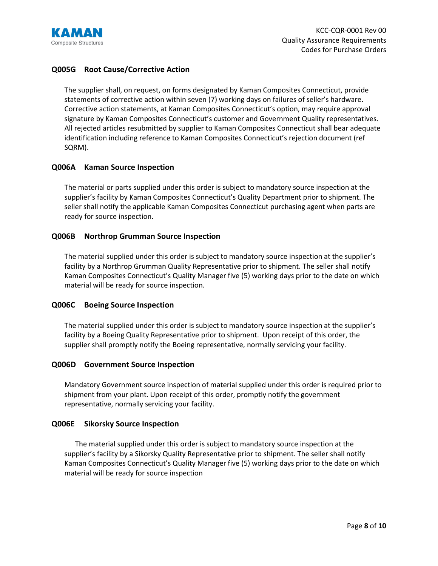

#### **Q005G Root Cause/Corrective Action**

The supplier shall, on request, on forms designated by Kaman Composites Connecticut, provide statements of corrective action within seven (7) working days on failures of seller's hardware. Corrective action statements, at Kaman Composites Connecticut's option, may require approval signature by Kaman Composites Connecticut's customer and Government Quality representatives. All rejected articles resubmitted by supplier to Kaman Composites Connecticut shall bear adequate identification including reference to Kaman Composites Connecticut's rejection document (ref SQRM).

#### **Q006A Kaman Source Inspection**

The material or parts supplied under this order is subject to mandatory source inspection at the supplier's facility by Kaman Composites Connecticut's Quality Department prior to shipment. The seller shall notify the applicable Kaman Composites Connecticut purchasing agent when parts are ready for source inspection.

#### **Q006B Northrop Grumman Source Inspection**

The material supplied under this order is subject to mandatory source inspection at the supplier's facility by a Northrop Grumman Quality Representative prior to shipment. The seller shall notify Kaman Composites Connecticut's Quality Manager five (5) working days prior to the date on which material will be ready for source inspection.

#### **Q006C Boeing Source Inspection**

The material supplied under this order is subject to mandatory source inspection at the supplier's facility by a Boeing Quality Representative prior to shipment. Upon receipt of this order, the supplier shall promptly notify the Boeing representative, normally servicing your facility.

#### **Q006D Government Source Inspection**

Mandatory Government source inspection of material supplied under this order is required prior to shipment from your plant. Upon receipt of this order, promptly notify the government representative, normally servicing your facility.

#### **Q006E Sikorsky Source Inspection**

 The material supplied under this order is subject to mandatory source inspection at the supplier's facility by a Sikorsky Quality Representative prior to shipment. The seller shall notify Kaman Composites Connecticut's Quality Manager five (5) working days prior to the date on which material will be ready for source inspection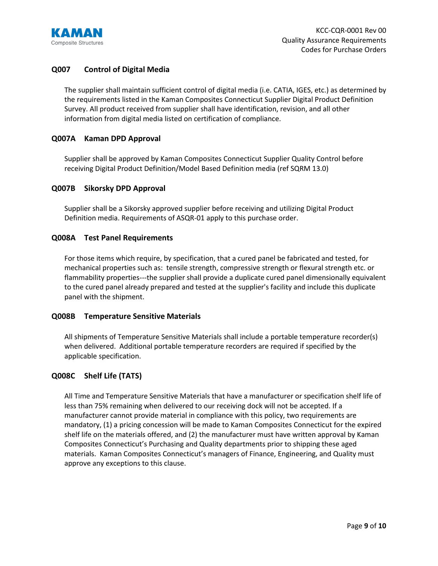

#### **Q007 Control of Digital Media**

The supplier shall maintain sufficient control of digital media (i.e. CATIA, IGES, etc.) as determined by the requirements listed in the Kaman Composites Connecticut Supplier Digital Product Definition Survey. All product received from supplier shall have identification, revision, and all other information from digital media listed on certification of compliance.

#### **Q007A Kaman DPD Approval**

Supplier shall be approved by Kaman Composites Connecticut Supplier Quality Control before receiving Digital Product Definition/Model Based Definition media (ref SQRM 13.0)

#### **Q007B Sikorsky DPD Approval**

Supplier shall be a Sikorsky approved supplier before receiving and utilizing Digital Product Definition media. Requirements of ASQR-01 apply to this purchase order.

#### **Q008A Test Panel Requirements**

For those items which require, by specification, that a cured panel be fabricated and tested, for mechanical properties such as: tensile strength, compressive strength or flexural strength etc. or flammability properties---the supplier shall provide a duplicate cured panel dimensionally equivalent to the cured panel already prepared and tested at the supplier's facility and include this duplicate panel with the shipment.

#### **Q008B Temperature Sensitive Materials**

All shipments of Temperature Sensitive Materials shall include a portable temperature recorder(s) when delivered. Additional portable temperature recorders are required if specified by the applicable specification.

#### **Q008C Shelf Life (TATS)**

All Time and Temperature Sensitive Materials that have a manufacturer or specification shelf life of less than 75% remaining when delivered to our receiving dock will not be accepted. If a manufacturer cannot provide material in compliance with this policy, two requirements are mandatory, (1) a pricing concession will be made to Kaman Composites Connecticut for the expired shelf life on the materials offered, and (2) the manufacturer must have written approval by Kaman Composites Connecticut's Purchasing and Quality departments prior to shipping these aged materials. Kaman Composites Connecticut's managers of Finance, Engineering, and Quality must approve any exceptions to this clause.